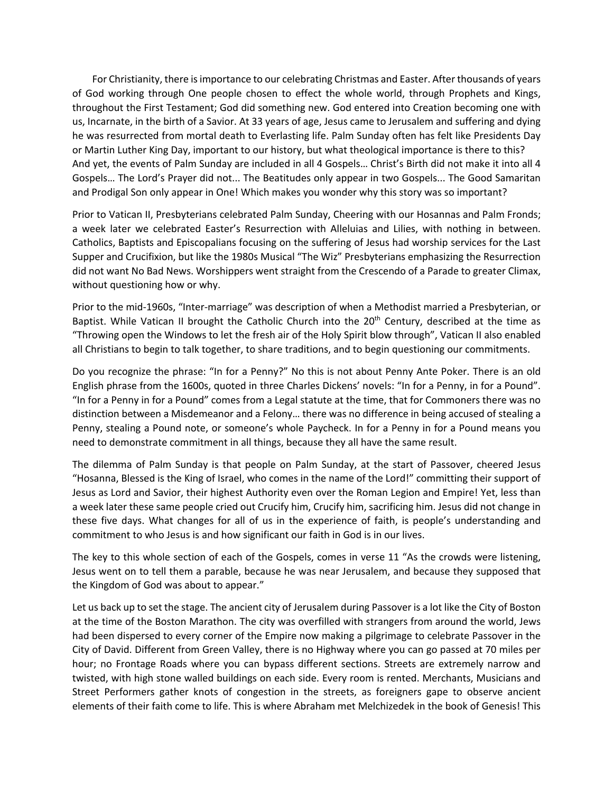For Christianity, there is importance to our celebrating Christmas and Easter. After thousands of years of God working through One people chosen to effect the whole world, through Prophets and Kings, throughout the First Testament; God did something new. God entered into Creation becoming one with us, Incarnate, in the birth of a Savior. At 33 years of age, Jesus came to Jerusalem and suffering and dying he was resurrected from mortal death to Everlasting life. Palm Sunday often has felt like Presidents Day or Martin Luther King Day, important to our history, but what theological importance is there to this? And yet, the events of Palm Sunday are included in all 4 Gospels… Christ's Birth did not make it into all 4 Gospels… The Lord's Prayer did not... The Beatitudes only appear in two Gospels... The Good Samaritan and Prodigal Son only appear in One! Which makes you wonder why this story was so important?

Prior to Vatican II, Presbyterians celebrated Palm Sunday, Cheering with our Hosannas and Palm Fronds; a week later we celebrated Easter's Resurrection with Alleluias and Lilies, with nothing in between. Catholics, Baptists and Episcopalians focusing on the suffering of Jesus had worship services for the Last Supper and Crucifixion, but like the 1980s Musical "The Wiz" Presbyterians emphasizing the Resurrection did not want No Bad News. Worshippers went straight from the Crescendo of a Parade to greater Climax, without questioning how or why.

Prior to the mid-1960s, "Inter-marriage" was description of when a Methodist married a Presbyterian, or Baptist. While Vatican II brought the Catholic Church into the 20<sup>th</sup> Century, described at the time as "Throwing open the Windows to let the fresh air of the Holy Spirit blow through", Vatican II also enabled all Christians to begin to talk together, to share traditions, and to begin questioning our commitments.

Do you recognize the phrase: "In for a Penny?" No this is not about Penny Ante Poker. There is an old English phrase from the 1600s, quoted in three Charles Dickens' novels: "In for a Penny, in for a Pound". "In for a Penny in for a Pound" comes from a Legal statute at the time, that for Commoners there was no distinction between a Misdemeanor and a Felony… there was no difference in being accused of stealing a Penny, stealing a Pound note, or someone's whole Paycheck. In for a Penny in for a Pound means you need to demonstrate commitment in all things, because they all have the same result.

The dilemma of Palm Sunday is that people on Palm Sunday, at the start of Passover, cheered Jesus "Hosanna, Blessed is the King of Israel, who comes in the name of the Lord!" committing their support of Jesus as Lord and Savior, their highest Authority even over the Roman Legion and Empire! Yet, less than a week later these same people cried out Crucify him, Crucify him, sacrificing him. Jesus did not change in these five days. What changes for all of us in the experience of faith, is people's understanding and commitment to who Jesus is and how significant our faith in God is in our lives.

The key to this whole section of each of the Gospels, comes in verse 11 "As the crowds were listening, Jesus went on to tell them a parable, because he was near Jerusalem, and because they supposed that the Kingdom of God was about to appear."

Let us back up to set the stage. The ancient city of Jerusalem during Passover is a lot like the City of Boston at the time of the Boston Marathon. The city was overfilled with strangers from around the world, Jews had been dispersed to every corner of the Empire now making a pilgrimage to celebrate Passover in the City of David. Different from Green Valley, there is no Highway where you can go passed at 70 miles per hour; no Frontage Roads where you can bypass different sections. Streets are extremely narrow and twisted, with high stone walled buildings on each side. Every room is rented. Merchants, Musicians and Street Performers gather knots of congestion in the streets, as foreigners gape to observe ancient elements of their faith come to life. This is where Abraham met Melchizedek in the book of Genesis! This